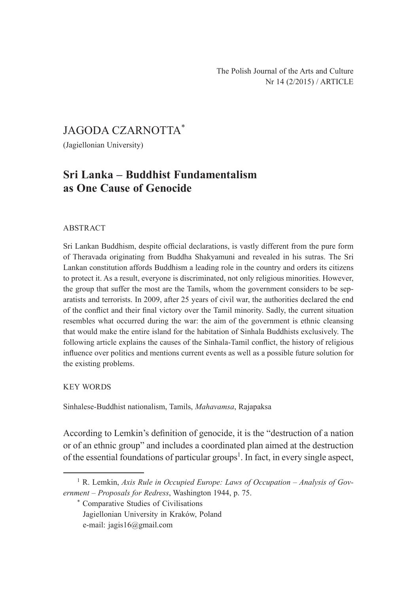# JAGODA CZARNOTTA\*

(Jagiellonian University)

# **Sri Lanka – Buddhist Fundamentalism as One Cause of Genocide**

#### ABSTRACT

Sri Lankan Buddhism, despite official declarations, is vastly different from the pure form of Theravada originating from Buddha Shakyamuni and revealed in his sutras. The Sri Lankan constitution affords Buddhism a leading role in the country and orders its citizens to protect it. As a result, everyone is discriminated, not only religious minorities. However, the group that suffer the most are the Tamils, whom the government considers to be separatists and terrorists. In 2009, after 25 years of civil war, the authorities declared the end of the conflict and their final victory over the Tamil minority. Sadly, the current situation resembles what occurred during the war: the aim of the government is ethnic cleansing that would make the entire island for the habitation of Sinhala Buddhists exclusively. The following article explains the causes of the Sinhala-Tamil conflict, the history of religious influence over politics and mentions current events as well as a possible future solution for the existing problems.

#### KEY WORDS

Sinhalese-Buddhist nationalism, Tamils, *Mahavamsa*, Rajapaksa

According to Lemkin's definition of genocide, it is the "destruction of a nation or of an ethnic group" and includes a coordinated plan aimed at the destruction of the essential foundations of particular groups<sup>1</sup>. In fact, in every single aspect,

<sup>&</sup>lt;sup>1</sup> R. Lemkin, *Axis Rule in Occupied Europe: Laws of Occupation – Analysis of Government – Proposals for Redress*, Washington 1944, p. 75.

<sup>\*</sup> Comparative Studies of Civilisations

Jagiellonian University in Kraków, Poland

e-mail: jagis16@gmail.com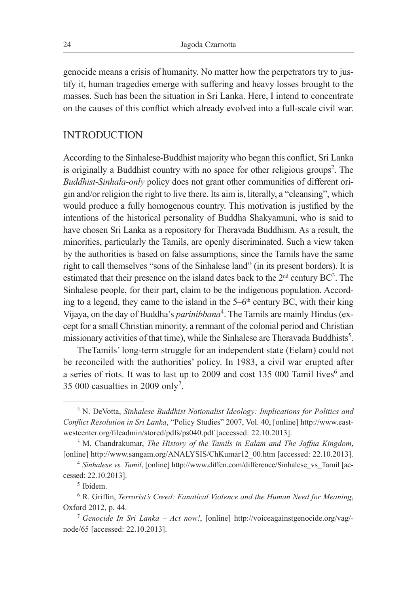genocide means a crisis of humanity. No matter how the perpetrators try to justify it, human tragedies emerge with suffering and heavy losses brought to the masses. Such has been the situation in Sri Lanka. Here, I intend to concentrate on the causes of this conflict which already evolved into a full-scale civil war.

#### INTRODUCTION

According to the Sinhalese-Buddhist majority who began this conflict, Sri Lanka is originally a Buddhist country with no space for other religious groups<sup>2</sup>. The *Buddhist-Sinhala-only* policy does not grant other communities of different origin and/or religion the right to live there. Its aim is, literally, a "cleansing", which would produce a fully homogenous country. This motivation is justified by the intentions of the historical personality of Buddha Shakyamuni, who is said to have chosen Sri Lanka as a repository for Theravada Buddhism. As a result, the minorities, particularly the Tamils, are openly discriminated. Such a view taken by the authorities is based on false assumptions, since the Tamils have the same right to call themselves "sons of the Sinhalese land" (in its present borders). It is estimated that their presence on the island dates back to the  $2<sup>nd</sup>$  century BC<sup>3</sup>. The Sinhalese people, for their part, claim to be the indigenous population. According to a legend, they came to the island in the  $5-6<sup>th</sup>$  century BC, with their king Vijaya, on the day of Buddha's *parinibbana*<sup>4</sup> . The Tamils are mainly Hindus (except for a small Christian minority, a remnant of the colonial period and Christian missionary activities of that time), while the Sinhalese are Theravada Buddhists<sup>5</sup>.

TheTamils' long-term struggle for an independent state (Eelam) could not be reconciled with the authorities' policy. In 1983, a civil war erupted after a series of riots. It was to last up to 2009 and cost 135 000 Tamil lives<sup>6</sup> and 35 000 casualties in 2009 only<sup>7</sup> .

<sup>2</sup> N. DeVotta, *Sinhalese Buddhist Nationalist Ideology: Implications for Politics and Conflict Resolution in Sri Lanka*, "Policy Studies" 2007, Vol. 40, [online] http://www.eastwestcenter.org/fileadmin/stored/pdfs/ps040.pdf [accessed: 22.10.2013].

<sup>3</sup> M. Chandrakumar, *The History of the Tamils in Ealam and The Jaffna Kingdom*, [online] http://www.sangam.org/ANALYSIS/ChKumar12\_00.htm [accessed: 22.10.2013].

<sup>&</sup>lt;sup>4</sup> Sinhalese vs. Tamil, [online] http://www.diffen.com/difference/Sinhalese\_vs\_Tamil [accessed: 22.10.2013].

<sup>5</sup> Ibidem.

<sup>6</sup> R. Griffin, *Terrorist's Creed: Fanatical Violence and the Human Need for Meaning*, Oxford 2012, p. 44.

<sup>7</sup> *Genocide In Sri Lanka – Act now!*, [online] http://voiceagainstgenocide.org/vag/ node/65 [accessed: 22.10.2013].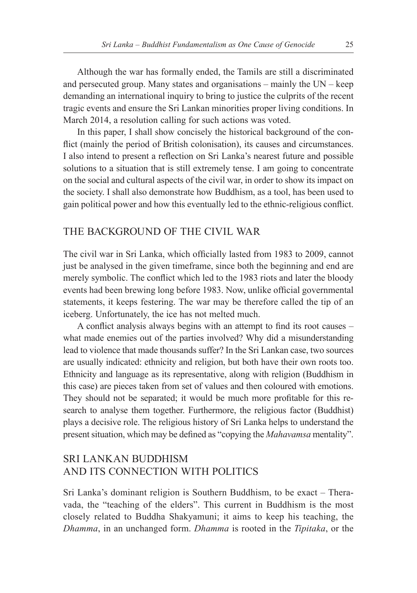Although the war has formally ended, the Tamils are still a discriminated and persecuted group. Many states and organisations – mainly the UN – keep demanding an international inquiry to bring to justice the culprits of the recent tragic events and ensure the Sri Lankan minorities proper living conditions. In March 2014, a resolution calling for such actions was voted.

In this paper, I shall show concisely the historical background of the conflict (mainly the period of British colonisation), its causes and circumstances. I also intend to present a reflection on Sri Lanka's nearest future and possible solutions to a situation that is still extremely tense. I am going to concentrate on the social and cultural aspects of the civil war, in order to show its impact on the society. I shall also demonstrate how Buddhism, as a tool, has been used to gain political power and how this eventually led to the ethnic-religious conflict.

#### THE BACKGROUND OF THE CIVIL WAR

The civil war in Sri Lanka, which officially lasted from 1983 to 2009, cannot just be analysed in the given timeframe, since both the beginning and end are merely symbolic. The conflict which led to the 1983 riots and later the bloody events had been brewing long before 1983. Now, unlike official governmental statements, it keeps festering. The war may be therefore called the tip of an iceberg. Unfortunately, the ice has not melted much.

A conflict analysis always begins with an attempt to find its root causes – what made enemies out of the parties involved? Why did a misunderstanding lead to violence that made thousands suffer? In the Sri Lankan case, two sources are usually indicated: ethnicity and religion, but both have their own roots too. Ethnicity and language as its representative, along with religion (Buddhism in this case) are pieces taken from set of values and then coloured with emotions. They should not be separated; it would be much more profitable for this research to analyse them together. Furthermore, the religious factor (Buddhist) plays a decisive role. The religious history of Sri Lanka helps to understand the present situation, which may be defined as "copying the *Mahavamsa* mentality".

# SRI LANKAN BUDDHISM AND ITS CONNECTION WITH POLITICS

Sri Lanka's dominant religion is Southern Buddhism, to be exact – Theravada, the "teaching of the elders". This current in Buddhism is the most closely related to Buddha Shakyamuni; it aims to keep his teaching, the *Dhamma*, in an unchanged form. *Dhamma* is rooted in the *Tipitaka*, or the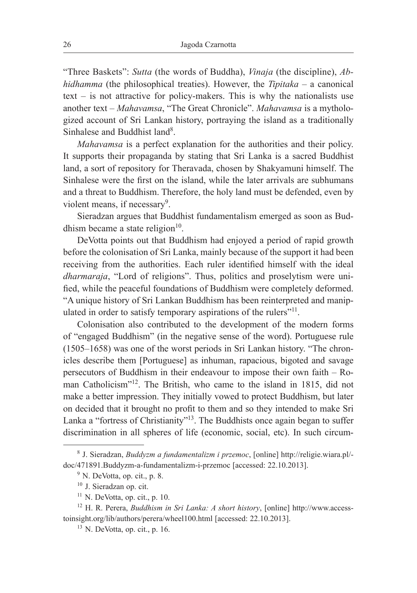"Three Baskets": *Sutta* (the words of Buddha), *Vinaja* (the discipline), *Abhidhamma* (the philosophical treaties). However, the *Tipitaka –* a canonical text – is not attractive for policy-makers. This is why the nationalists use another text – *Mahavamsa*, "The Great Chronicle". *Mahavamsa* is a mythologized account of Sri Lankan history, portraying the island as a traditionally Sinhalese and Buddhist land<sup>8</sup>.

*Mahavamsa* is a perfect explanation for the authorities and their policy. It supports their propaganda by stating that Sri Lanka is a sacred Buddhist land, a sort of repository for Theravada, chosen by Shakyamuni himself. The Sinhalese were the first on the island, while the later arrivals are subhumans and a threat to Buddhism. Therefore, the holy land must be defended, even by violent means, if necessary<sup>9</sup>.

Sieradzan argues that Buddhist fundamentalism emerged as soon as Buddhism became a state religion $10$ .

DeVotta points out that Buddhism had enjoyed a period of rapid growth before the colonisation of Sri Lanka, mainly because of the support it had been receiving from the authorities. Each ruler identified himself with the ideal *dharmaraja*, "Lord of religions". Thus, politics and proselytism were unified, while the peaceful foundations of Buddhism were completely deformed. "A unique history of Sri Lankan Buddhism has been reinterpreted and manipulated in order to satisfy temporary aspirations of the rulers"<sup>11</sup>.

Colonisation also contributed to the development of the modern forms of "engaged Buddhism" (in the negative sense of the word). Portuguese rule (1505–1658) was one of the worst periods in Sri Lankan history. "The chronicles describe them [Portuguese] as inhuman, rapacious, bigoted and savage persecutors of Buddhism in their endeavour to impose their own faith – Roman Catholicism"<sup>12</sup>. The British, who came to the island in 1815, did not make a better impression. They initially vowed to protect Buddhism, but later on decided that it brought no profit to them and so they intended to make Sri Lanka a "fortress of Christianity"<sup>13</sup>. The Buddhists once again began to suffer discrimination in all spheres of life (economic, social, etc). In such circum-

<sup>8</sup> J. Sieradzan, *Buddyzm a fundamentalizm i przemoc*, [online] http://religie.wiara.pl/ doc/471891.Buddyzm-a-fundamentalizm-i-przemoc [accessed: 22.10.2013].

<sup>9</sup> N. DeVotta, op. cit., p. 8.

<sup>&</sup>lt;sup>10</sup> J. Sieradzan op. cit.

 $11$  N. DeVotta, op. cit., p. 10.

<sup>12</sup> H. R. Perera, *Buddhism in Sri Lanka: A short history*, [online] http://www.accesstoinsight.org/lib/authors/perera/wheel100.html [accessed: 22.10.2013].

 $13$  N. DeVotta, op. cit., p. 16.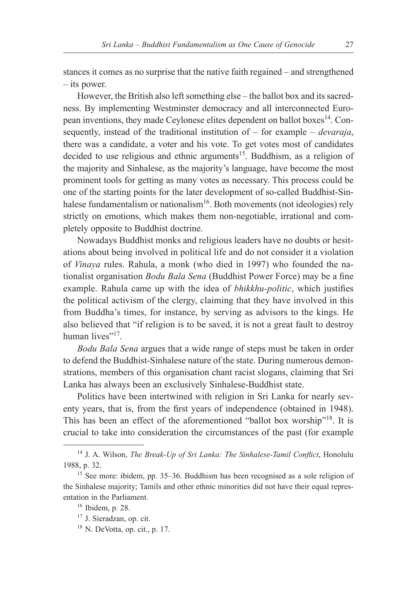stances it comes as no surprise that the native faith regained – and strengthened – its power.

However, the British also left something else – the ballot box and its sacredness. By implementing Westminster democracy and all interconnected European inventions, they made Ceylonese elites dependent on ballot boxes<sup>14</sup>. Consequently, instead of the traditional institution of – for example – *devaraja*, there was a candidate, a voter and his vote. To get votes most of candidates decided to use religious and ethnic arguments<sup>15</sup>. Buddhism, as a religion of the majority and Sinhalese, as the majority's language, have become the most prominent tools for getting as many votes as necessary. This process could be one of the starting points for the later development of so-called Buddhist-Sinhalese fundamentalism or nationalism<sup>16</sup>. Both movements (not ideologies) rely strictly on emotions, which makes them non-negotiable, irrational and completely opposite to Buddhist doctrine.

Nowadays Buddhist monks and religious leaders have no doubts or hesitations about being involved in political life and do not consider it a violation of *Vinaya* rules. Rahula, a monk (who died in 1997) who founded the nationalist organisation *Bodu Bala Sena* (Buddhist Power Force) may be a fine example. Rahula came up with the idea of *bhikkhu-politic*, which justifies the political activism of the clergy, claiming that they have involved in this from Buddha's times, for instance, by serving as advisors to the kings. He also believed that "if religion is to be saved, it is not a great fault to destroy human lives"<sup>17</sup>

*Bodu Bala Sena* argues that a wide range of steps must be taken in order to defend the Buddhist-Sinhalese nature of the state. During numerous demonstrations, members of this organisation chant racist slogans, claiming that Sri Lanka has always been an exclusively Sinhalese-Buddhist state.

Politics have been intertwined with religion in Sri Lanka for nearly seventy years, that is, from the first years of independence (obtained in 1948). This has been an effect of the aforementioned "ballot box worship"<sup>18</sup>. It is crucial to take into consideration the circumstances of the past (for example

<sup>14</sup> J. A. Wilson, *The Break-Up of Sri Lanka: The Sinhalese-Tamil Conflict*, Honolulu 1988, p. 32.

<sup>15</sup> See more: ibidem, pp. 35–36. Buddhism has been recognised as a sole religion of the Sinhalese majority; Tamils and other ethnic minorities did not have their equal representation in the Parliament.

<sup>16</sup> Ibidem, p. 28.

<sup>17</sup> J. Sieradzan, op. cit.

 $18$  N. DeVotta, op. cit., p. 17.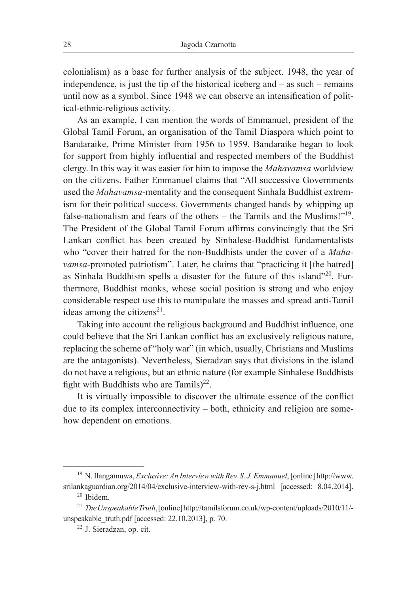colonialism) as a base for further analysis of the subject. 1948, the year of independence, is just the tip of the historical iceberg and – as such – remains until now as a symbol. Since 1948 we can observe an intensification of political-ethnic-religious activity.

As an example, I can mention the words of Emmanuel, president of the Global Tamil Forum, an organisation of the Tamil Diaspora which point to Bandaraike, Prime Minister from 1956 to 1959. Bandaraike began to look for support from highly influential and respected members of the Buddhist clergy. In this way it was easier for him to impose the *Mahavamsa* worldview on the citizens. Father Emmanuel claims that "All successive Governments used the *Mahavamsa*-mentality and the consequent Sinhala Buddhist extremism for their political success. Governments changed hands by whipping up false-nationalism and fears of the others – the Tamils and the Muslims!"19. The President of the Global Tamil Forum affirms convincingly that the Sri Lankan conflict has been created by Sinhalese-Buddhist fundamentalists who "cover their hatred for the non-Buddhists under the cover of a *Mahavamsa*-promoted patriotism". Later, he claims that "practicing it [the hatred] as Sinhala Buddhism spells a disaster for the future of this island"<sup>20</sup>. Furthermore, Buddhist monks, whose social position is strong and who enjoy considerable respect use this to manipulate the masses and spread anti-Tamil ideas among the citizens<sup>21</sup>.

Taking into account the religious background and Buddhist influence, one could believe that the Sri Lankan conflict has an exclusively religious nature, replacing the scheme of "holy war" (in which, usually, Christians and Muslims are the antagonists). Nevertheless, Sieradzan says that divisions in the island do not have a religious, but an ethnic nature (for example Sinhalese Buddhists fight with Buddhists who are Tamils) $^{22}$ .

It is virtually impossible to discover the ultimate essence of the conflict due to its complex interconnectivity – both, ethnicity and religion are somehow dependent on emotions.

<sup>19</sup> N. Ilangamuwa, *Exclusive: An Interview with Rev. S. J. Emmanuel*, [online] http://www. srilankaguardian.org/2014/04/exclusive-interview-with-rev-s-j.html [accessed: 8.04.2014]. <sup>20</sup> Ibidem.

<sup>21</sup> *The Unspeakable Truth*, [online] http://tamilsforum.co.uk/wp-content/uploads/2010/11/ unspeakable\_truth.pdf [accessed: 22.10.2013], p. 70.

<sup>22</sup> J. Sieradzan, op. cit.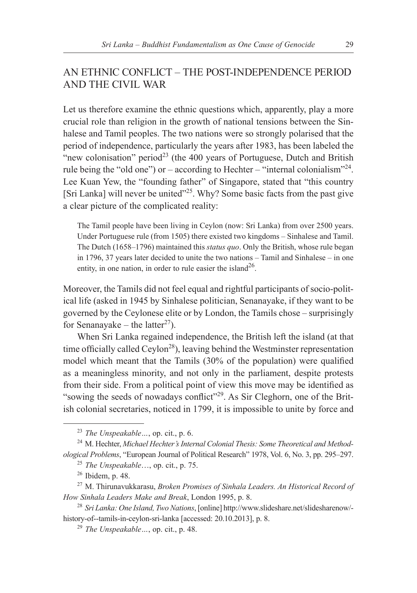# AN ETHNIC CONFLICT – THE POST-INDEPENDENCE PERIOD AND THE CIVIL WAR

Let us therefore examine the ethnic questions which, apparently, play a more crucial role than religion in the growth of national tensions between the Sinhalese and Tamil peoples. The two nations were so strongly polarised that the period of independence, particularly the years after 1983, has been labeled the "new colonisation" period<sup>23</sup> (the 400 years of Portuguese, Dutch and British rule being the "old one") or – according to Hechter – "internal colonialism"<sup>24</sup>. Lee Kuan Yew, the "founding father" of Singapore, stated that "this country [Sri Lanka] will never be united<sup>"25</sup>. Why? Some basic facts from the past give a clear picture of the complicated reality:

The Tamil people have been living in Ceylon (now: Sri Lanka) from over 2500 years. Under Portuguese rule (from 1505) there existed two kingdoms – Sinhalese and Tamil. The Dutch (1658–1796) maintained this *status quo*. Only the British, whose rule began in 1796, 37 years later decided to unite the two nations – Tamil and Sinhalese – in one entity, in one nation, in order to rule easier the island<sup>26</sup>.

Moreover, the Tamils did not feel equal and rightful participants of socio-political life (asked in 1945 by Sinhalese politician, Senanayake, if they want to be governed by the Ceylonese elite or by London, the Tamils chose – surprisingly for Senanayake – the latter<sup>27</sup>).

When Sri Lanka regained independence, the British left the island (at that time officially called Ceylon<sup>28</sup>), leaving behind the Westminster representation model which meant that the Tamils (30% of the population) were qualified as a meaningless minority, and not only in the parliament, despite protests from their side. From a political point of view this move may be identified as "sowing the seeds of nowadays conflict"<sup>29</sup>. As Sir Cleghorn, one of the British colonial secretaries, noticed in 1799, it is impossible to unite by force and

<sup>23</sup> *The Unspeakable…*, op. cit., p. 6.

<sup>24</sup> M. Hechter, *Michael Hechter's Internal Colonial Thesis: Some Theoretical and Methodological Problems*, "European Journal of Political Research" 1978, Vol. 6, No. 3, pp. 295–297.

<sup>25</sup> *The Unspeakable*…, op. cit., p. 75.

<sup>26</sup> Ibidem, p. 48.

<sup>27</sup> M. Thirunavukkarasu, *Broken Promises of Sinhala Leaders. An Historical Record of How Sinhala Leaders Make and Break*, London 1995, p. 8.

<sup>28</sup> *Sri Lanka: One Island, Two Nations*, [online] http://www.slideshare.net/slidesharenow/ history-of--tamils-in-ceylon-sri-lanka [accessed: 20.10.2013], p. 8.

<sup>29</sup> *The Unspeakable…*, op. cit., p. 48.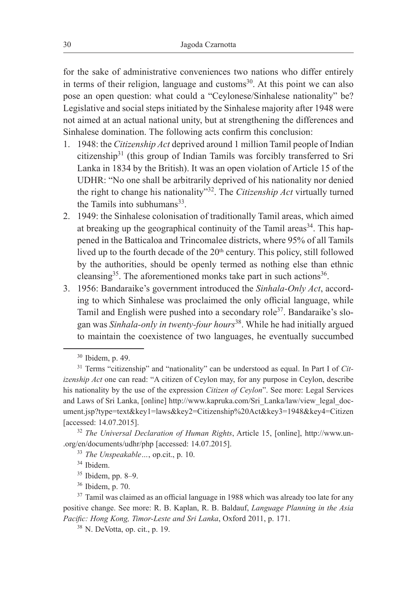for the sake of administrative conveniences two nations who differ entirely in terms of their religion, language and customs $30$ . At this point we can also pose an open question: what could a "Ceylonese/Sinhalese nationality" be? Legislative and social steps initiated by the Sinhalese majority after 1948 were not aimed at an actual national unity, but at strengthening the differences and Sinhalese domination. The following acts confirm this conclusion:

- 1. 1948: the *Citizenship Act* deprived around 1 million Tamil people of Indian citizenship<sup>31</sup> (this group of Indian Tamils was forcibly transferred to Sri Lanka in 1834 by the British). It was an open violation of Article 15 of the UDHR: "No one shall be arbitrarily deprived of his nationality nor denied the right to change his nationality"32. The *Citizenship Act* virtually turned the Tamils into subhumans $33$ .
- 2. 1949: the Sinhalese colonisation of traditionally Tamil areas, which aimed at breaking up the geographical continuity of the Tamil areas<sup>34</sup>. This happened in the Batticaloa and Trincomalee districts, where 95% of all Tamils lived up to the fourth decade of the 20<sup>th</sup> century. This policy, still followed by the authorities, should be openly termed as nothing else than ethnic cleansing<sup>35</sup>. The aforementioned monks take part in such actions<sup>36</sup>.
- 3. 1956: Bandaraike's government introduced the *Sinhala-Only Act*, according to which Sinhalese was proclaimed the only official language, while Tamil and English were pushed into a secondary role<sup>37</sup>. Bandaraike's slogan was *Sinhala-only in twenty-four hours*<sup>38</sup>. While he had initially argued to maintain the coexistence of two languages, he eventually succumbed

<sup>30</sup> Ibidem, p. 49.

<sup>31</sup> Terms "citizenship" and "nationality" can be understood as equal. In Part I of *Citizenship Act* one can read: "A citizen of Ceylon may, for any purpose in Ceylon, describe his nationality by the use of the expression *Citizen of Ceylon*". See more: Legal Services and Laws of Sri Lanka, [online] http://www.kapruka.com/Sri\_Lanka/law/view\_legal\_document.jsp?type=text&key1=laws&key2=Citizenship%20Act&key3=1948&key4=Citizen [accessed: 14.07.2015].

<sup>32</sup> *The Universal Declaration of Human Rights*, Article 15, [online], http://www.un- .org/en/documents/udhr/php [accessed: 14.07.2015].

<sup>33</sup> *The Unspeakable…*, op.cit., p. 10.

<sup>34</sup> Ibidem.

 $35$  Ibidem, pp. 8–9.<br> $36$  Ibidem, p. 70.

<sup>&</sup>lt;sup>37</sup> Tamil was claimed as an official language in 1988 which was already too late for any positive change. See more: R. B. Kaplan, R. B. Baldauf, *Language Planning in the Asia Pacific: Hong Kong, Timor-Leste and Sri Lanka*, Oxford 2011, p. 171. 38 N. DeVotta, op. cit., p. 19.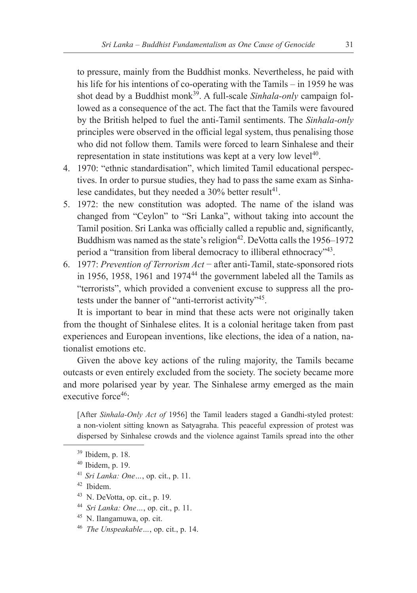to pressure, mainly from the Buddhist monks. Nevertheless, he paid with his life for his intentions of co-operating with the Tamils – in 1959 he was shot dead by a Buddhist monk<sup>39</sup>. A full-scale *Sinhala-only* campaign followed as a consequence of the act. The fact that the Tamils were favoured by the British helped to fuel the anti-Tamil sentiments. The *Sinhala-only* principles were observed in the official legal system, thus penalising those who did not follow them. Tamils were forced to learn Sinhalese and their representation in state institutions was kept at a very low level<sup>40</sup>.

- 4. 1970: "ethnic standardisation", which limited Tamil educational perspectives. In order to pursue studies, they had to pass the same exam as Sinhalese candidates, but they needed a 30% better result<sup>41</sup>.
- 5. 1972: the new constitution was adopted. The name of the island was changed from "Ceylon" to "Sri Lanka", without taking into account the Tamil position. Sri Lanka was officially called a republic and, significantly, Buddhism was named as the state's religion<sup>42</sup>. DeVotta calls the  $1956-1972$ period a "transition from liberal democracy to illiberal ethnocracy"43.
- 6. 1977: *Prevention of Terrorism Act* − after anti-Tamil, state-sponsored riots in 1956, 1958, 1961 and  $1974<sup>44</sup>$  the government labeled all the Tamils as "terrorists", which provided a convenient excuse to suppress all the protests under the banner of "anti-terrorist activity"45.

It is important to bear in mind that these acts were not originally taken from the thought of Sinhalese elites. It is a colonial heritage taken from past experiences and European inventions, like elections, the idea of a nation, nationalist emotions etc.

Given the above key actions of the ruling majority, the Tamils became outcasts or even entirely excluded from the society. The society became more and more polarised year by year. The Sinhalese army emerged as the main executive force<sup>46.</sup>

[After *Sinhala-Only Act of* 1956] the Tamil leaders staged a Gandhi-styled protest: a non-violent sitting known as Satyagraha. This peaceful expression of protest was dispersed by Sinhalese crowds and the violence against Tamils spread into the other

- <sup>41</sup> *Sri Lanka: One…*, op. cit., p. 11.
- <sup>42</sup> Ibidem.
- $43$  N. DeVotta, op. cit., p. 19.
- <sup>44</sup> *Sri Lanka: One…*, op. cit., p. 11.
- 
- <sup>45</sup> N. Ilangamuwa, op. cit. 46 *The Unspeakable…*, op. cit., p. 14.

<sup>39</sup> Ibidem, p. 18.

<sup>40</sup> Ibidem, p. 19.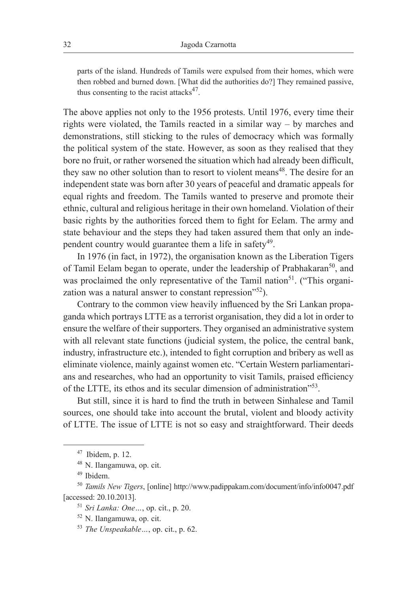parts of the island. Hundreds of Tamils were expulsed from their homes, which were then robbed and burned down. [What did the authorities do?] They remained passive, thus consenting to the racist attacks $47$ .

The above applies not only to the 1956 protests. Until 1976, every time their rights were violated, the Tamils reacted in a similar way – by marches and demonstrations, still sticking to the rules of democracy which was formally the political system of the state. However, as soon as they realised that they bore no fruit, or rather worsened the situation which had already been difficult, they saw no other solution than to resort to violent means<sup>48</sup>. The desire for an independent state was born after 30 years of peaceful and dramatic appeals for equal rights and freedom. The Tamils wanted to preserve and promote their ethnic, cultural and religious heritage in their own homeland. Violation of their basic rights by the authorities forced them to fight for Eelam. The army and state behaviour and the steps they had taken assured them that only an independent country would guarantee them a life in safety<sup>49</sup>.

In 1976 (in fact, in 1972), the organisation known as the Liberation Tigers of Tamil Eelam began to operate, under the leadership of Prabhakaran<sup>50</sup>, and was proclaimed the only representative of the Tamil nation<sup>51</sup>. ("This organization was a natural answer to constant repression"<sup>52</sup>).

Contrary to the common view heavily influenced by the Sri Lankan propaganda which portrays LTTE as a terrorist organisation, they did a lot in order to ensure the welfare of their supporters. They organised an administrative system with all relevant state functions (judicial system, the police, the central bank, industry, infrastructure etc.), intended to fight corruption and bribery as well as eliminate violence, mainly against women etc. "Certain Western parliamentarians and researches, who had an opportunity to visit Tamils, praised efficiency of the LTTE, its ethos and its secular dimension of administration<sup>553</sup>.

But still, since it is hard to find the truth in between Sinhalese and Tamil sources, one should take into account the brutal, violent and bloody activity of LTTE. The issue of LTTE is not so easy and straightforward. Their deeds

 $47$  Ibidem, p. 12.

<sup>48</sup> N. Ilangamuwa, op. cit.

<sup>49</sup> Ibidem.

<sup>50</sup> *Tamils New Tigers*, [online] http://www.padippakam.com/document/info/info0047.pdf [accessed: 20.10.2013].

<sup>51</sup> *Sri Lanka: One…*, op. cit., p. 20.

<sup>52</sup> N. Ilangamuwa, op. cit.

<sup>53</sup> *The Unspeakable…*, op. cit., p. 62.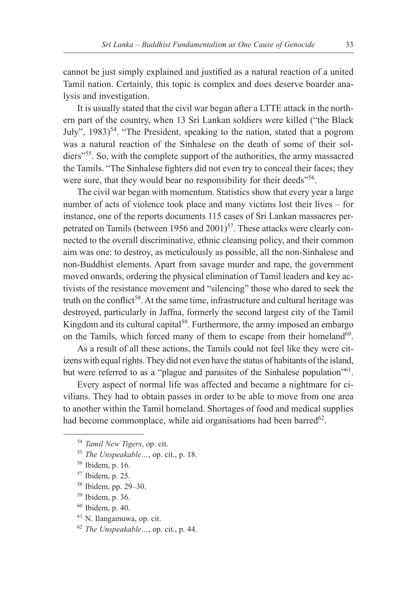cannot be just simply explained and justified as a natural reaction of a united Tamil nation. Certainly, this topic is complex and does deserve boarder analysis and investigation.

It is usually stated that the civil war began after a LTTE attack in the northern part of the country, when 13 Sri Lankan soldiers were killed ("the Black July", 1983)<sup>54</sup>. "The President, speaking to the nation, stated that a pogrom was a natural reaction of the Sinhalese on the death of some of their soldiers"<sup>55</sup>. So, with the complete support of the authorities, the army massacred the Tamils. "The Sinhalese fighters did not even try to conceal their faces; they were sure, that they would bear no responsibility for their deeds"<sup>56</sup>.

The civil war began with momentum. Statistics show that every year a large number of acts of violence took place and many victims lost their lives – for instance, one of the reports documents 115 cases of Sri Lankan massacres perpetrated on Tamils (between 1956 and 2001)<sup>57</sup>. These attacks were clearly connected to the overall discriminative, ethnic cleansing policy, and their common aim was one: to destroy, as meticulously as possible, all the non-Sinhalese and non-Buddhist elements. Apart from savage murder and rape, the government moved onwards, ordering the physical elimination of Tamil leaders and key activists of the resistance movement and "silencing" those who dared to seek the truth on the conflict<sup>58</sup>. At the same time, infrastructure and cultural heritage was destroyed, particularly in Jaffna, formerly the second largest city of the Tamil Kingdom and its cultural capital<sup>59</sup>. Furthermore, the army imposed an embargo on the Tamils, which forced many of them to escape from their homeland<sup>60</sup>.

As a result of all these actions, the Tamils could not feel like they were citizens with equal rights. They did not even have the status of habitants of the island, but were referred to as a "plague and parasites of the Sinhalese population"<sup>61</sup>.

Every aspect of normal life was affected and became a nightmare for civilians. They had to obtain passes in order to be able to move from one area to another within the Tamil homeland. Shortages of food and medical supplies had become commonplace, while aid organisations had been barred<sup>62</sup>.

- <sup>56</sup> Ibidem, p. 16.
- <sup>57</sup> Ibidem, p. 25.
- <sup>58</sup> Ibidem, pp. 29–30.
- <sup>59</sup> Ibidem, p. 36.
- $60$  Ibidem, p. 40.
- <sup>61</sup> N. Ilangamuwa, op. cit.
- <sup>62</sup> *The Unspeakable…*, op. cit*.*, p. 44.

<sup>54</sup> *Tamil New Tigers*, op. cit.

<sup>55</sup> *The Unspeakable…*, op. cit., p. 18.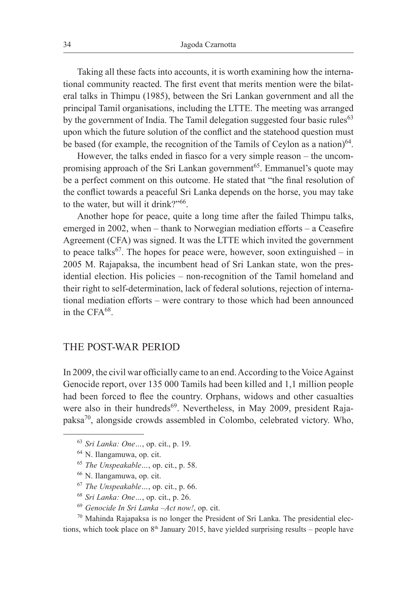Taking all these facts into accounts, it is worth examining how the international community reacted. The first event that merits mention were the bilateral talks in Thimpu (1985), between the Sri Lankan government and all the principal Tamil organisations, including the LTTE. The meeting was arranged by the government of India. The Tamil delegation suggested four basic rules<sup>63</sup> upon which the future solution of the conflict and the statehood question must be based (for example, the recognition of the Tamils of Ceylon as a nation)<sup>64</sup>.

However, the talks ended in fiasco for a very simple reason – the uncompromising approach of the Sri Lankan government<sup>65</sup>. Emmanuel's quote may be a perfect comment on this outcome. He stated that "the final resolution of the conflict towards a peaceful Sri Lanka depends on the horse, you may take to the water, but will it drink?"66.

Another hope for peace, quite a long time after the failed Thimpu talks, emerged in 2002, when – thank to Norwegian mediation efforts – a Ceasefire Agreement (CFA) was signed. It was the LTTE which invited the government to peace talks<sup>67</sup>. The hopes for peace were, however, soon extinguished – in 2005 M. Rajapaksa, the incumbent head of Sri Lankan state, won the presidential election. His policies – non-recognition of the Tamil homeland and their right to self-determination, lack of federal solutions, rejection of international mediation efforts – were contrary to those which had been announced in the CFA<sup>68</sup>

#### THE POST-WAR PERIOD

In 2009, the civil war officially came to an end. According to the Voice Against Genocide report, over 135 000 Tamils had been killed and 1,1 million people had been forced to flee the country. Orphans, widows and other casualties were also in their hundreds<sup>69</sup>. Nevertheless, in May 2009, president Rajapaksa70, alongside crowds assembled in Colombo, celebrated victory. Who,

- <sup>65</sup> *The Unspeakable…*, op. cit., p. 58.
- <sup>66</sup> N. Ilangamuwa, op. cit.
- <sup>67</sup> *The Unspeakable…*, op. cit., p. 66.
- <sup>68</sup> *Sri Lanka: One…*, op. cit., p. 26.
- <sup>69</sup> *Genocide In Sri Lanka* –*Act now!*, op. cit.

 $70$  Mahinda Rajapaksa is no longer the President of Sri Lanka. The presidential elections, which took place on  $8<sup>th</sup>$  January 2015, have yielded surprising results – people have

<sup>63</sup> *Sri Lanka: One…*, op. cit., p. 19.

<sup>64</sup> N. Ilangamuwa, op. cit.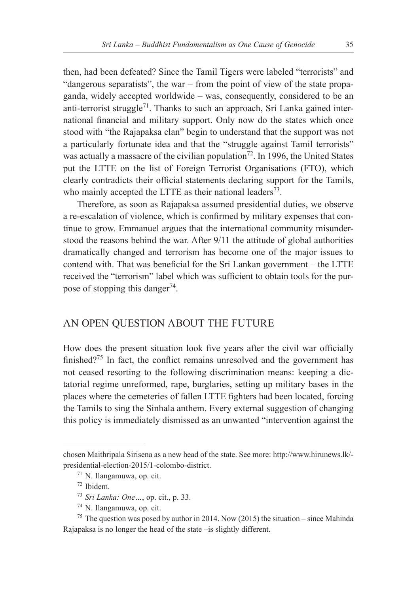then, had been defeated? Since the Tamil Tigers were labeled "terrorists" and "dangerous separatists", the war – from the point of view of the state propaganda, widely accepted worldwide – was, consequently, considered to be an anti-terrorist struggle<sup>71</sup>. Thanks to such an approach, Sri Lanka gained international financial and military support. Only now do the states which once stood with "the Rajapaksa clan" begin to understand that the support was not a particularly fortunate idea and that the "struggle against Tamil terrorists" was actually a massacre of the civilian population<sup>72</sup>. In 1996, the United States put the LTTE on the list of Foreign Terrorist Organisations (FTO), which clearly contradicts their official statements declaring support for the Tamils, who mainly accepted the LTTE as their national leaders<sup>73</sup>.

Therefore, as soon as Rajapaksa assumed presidential duties, we observe a re-escalation of violence, which is confirmed by military expenses that continue to grow. Emmanuel argues that the international community misunderstood the reasons behind the war. After 9/11 the attitude of global authorities dramatically changed and terrorism has become one of the major issues to contend with. That was beneficial for the Sri Lankan government – the LTTE received the "terrorism" label which was sufficient to obtain tools for the purpose of stopping this danger<sup>74</sup>.

# AN OPEN QUESTION ABOUT THE FUTURE

How does the present situation look five years after the civil war officially finished?<sup>75</sup> In fact, the conflict remains unresolved and the government has not ceased resorting to the following discrimination means: keeping a dictatorial regime unreformed, rape, burglaries, setting up military bases in the places where the cemeteries of fallen LTTE fighters had been located, forcing the Tamils to sing the Sinhala anthem. Every external suggestion of changing this policy is immediately dismissed as an unwanted "intervention against the

chosen Maithripala Sirisena as a new head of the state. See more: http://www.hirunews.lk/ presidential-election-2015/1-colombo-district.

<sup>71</sup> N. Ilangamuwa, op. cit.

<sup>72</sup> Ibidem.

<sup>73</sup> *Sri Lanka: One…*, op. cit., p. 33.

<sup>74</sup> N. Ilangamuwa, op. cit.

<sup>&</sup>lt;sup>75</sup> The question was posed by author in 2014. Now (2015) the situation – since Mahinda Rajapaksa is no longer the head of the state –is slightly different.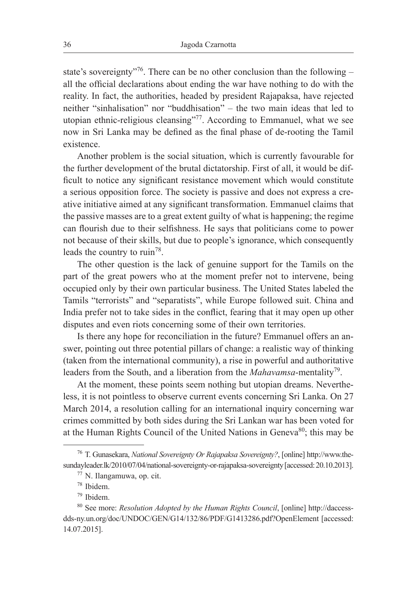state's sovereignty"<sup>76</sup>. There can be no other conclusion than the following – all the official declarations about ending the war have nothing to do with the reality. In fact, the authorities, headed by president Rajapaksa, have rejected neither "sinhalisation" nor "buddhisation" – the two main ideas that led to utopian ethnic-religious cleansing"<sup>77</sup>. According to Emmanuel, what we see now in Sri Lanka may be defined as the final phase of de-rooting the Tamil existence.

Another problem is the social situation, which is currently favourable for the further development of the brutal dictatorship. First of all, it would be difficult to notice any significant resistance movement which would constitute a serious opposition force. The society is passive and does not express a creative initiative aimed at any significant transformation. Emmanuel claims that the passive masses are to a great extent guilty of what is happening; the regime can flourish due to their selfishness. He says that politicians come to power not because of their skills, but due to people's ignorance, which consequently leads the country to ruin<sup>78</sup>.

The other question is the lack of genuine support for the Tamils on the part of the great powers who at the moment prefer not to intervene, being occupied only by their own particular business. The United States labeled the Tamils "terrorists" and "separatists", while Europe followed suit. China and India prefer not to take sides in the conflict, fearing that it may open up other disputes and even riots concerning some of their own territories.

Is there any hope for reconciliation in the future? Emmanuel offers an answer, pointing out three potential pillars of change: a realistic way of thinking (taken from the international community), a rise in powerful and authoritative leaders from the South, and a liberation from the *Mahavamsa*-mentality79.

At the moment, these points seem nothing but utopian dreams. Nevertheless, it is not pointless to observe current events concerning Sri Lanka. On 27 March 2014, a resolution calling for an international inquiry concerning war crimes committed by both sides during the Sri Lankan war has been voted for at the Human Rights Council of the United Nations in Geneva<sup>80</sup>; this may be

<sup>76</sup> T. Gunasekara, *National Sovereignty Or Rajapaksa Sovereignty?*, [online] http://www.thesundayleader.lk/2010/07/04/national-sovereignty-or-rajapaksa-sovereignty [accessed: 20.10.2013].

<sup>77</sup> N. Ilangamuwa, op. cit.

<sup>78</sup> Ibidem.

<sup>79</sup> Ibidem.

<sup>80</sup> See more: *Resolution Adopted by the Human Rights Council*, [online] http://daccessdds-ny.un.org/doc/UNDOC/GEN/G14/132/86/PDF/G1413286.pdf?OpenElement [accessed: 14.07.2015].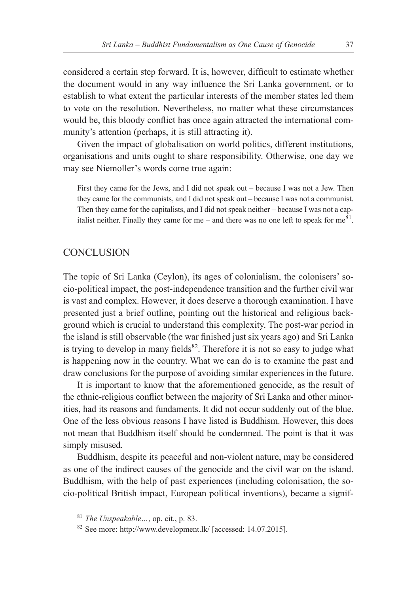considered a certain step forward. It is, however, difficult to estimate whether the document would in any way influence the Sri Lanka government, or to establish to what extent the particular interests of the member states led them to vote on the resolution. Nevertheless, no matter what these circumstances would be, this bloody conflict has once again attracted the international community's attention (perhaps, it is still attracting it).

Given the impact of globalisation on world politics, different institutions, organisations and units ought to share responsibility. Otherwise, one day we may see Niemoller's words come true again:

First they came for the Jews, and I did not speak out – because I was not a Jew. Then they came for the communists, and I did not speak out – because I was not a communist. Then they came for the capitalists, and I did not speak neither – because I was not a capitalist neither. Finally they came for me – and there was no one left to speak for me $81$ .

### **CONCLUSION**

The topic of Sri Lanka (Ceylon), its ages of colonialism, the colonisers' socio-political impact, the post-independence transition and the further civil war is vast and complex. However, it does deserve a thorough examination. I have presented just a brief outline, pointing out the historical and religious background which is crucial to understand this complexity. The post-war period in the island is still observable (the war finished just six years ago) and Sri Lanka is trying to develop in many fields $82$ . Therefore it is not so easy to judge what is happening now in the country. What we can do is to examine the past and draw conclusions for the purpose of avoiding similar experiences in the future.

It is important to know that the aforementioned genocide, as the result of the ethnic-religious conflict between the majority of Sri Lanka and other minorities, had its reasons and fundaments. It did not occur suddenly out of the blue. One of the less obvious reasons I have listed is Buddhism. However, this does not mean that Buddhism itself should be condemned. The point is that it was simply misused.

Buddhism, despite its peaceful and non-violent nature, may be considered as one of the indirect causes of the genocide and the civil war on the island. Buddhism, with the help of past experiences (including colonisation, the socio-political British impact, European political inventions), became a signif-

<sup>81</sup> *The Unspeakable…*, op. cit., p. 83.

<sup>82</sup> See more: http://www.development.lk/ [accessed: 14.07.2015].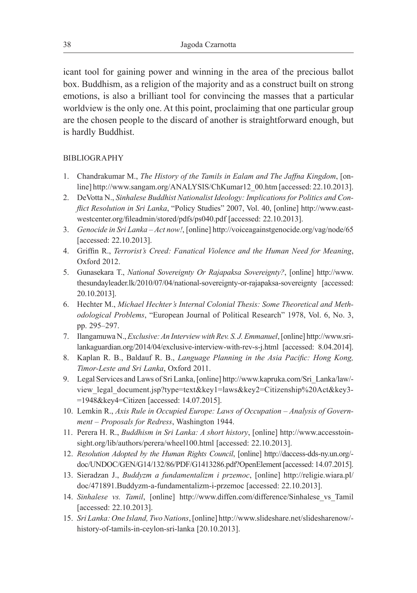icant tool for gaining power and winning in the area of the precious ballot box. Buddhism, as a religion of the majority and as a construct built on strong emotions, is also a brilliant tool for convincing the masses that a particular worldview is the only one. At this point, proclaiming that one particular group are the chosen people to the discard of another is straightforward enough, but is hardly Buddhist.

#### BIBLIOGRAPHY

- 1. Chandrakumar M., *The History of the Tamils in Ealam and The Jaffna Kingdom*, [online] http://www.sangam.org/ANALYSIS/ChKumar12\_00.htm [accessed: 22.10.2013].
- 2. DeVotta N., *Sinhalese Buddhist Nationalist Ideology: Implications for Politics and Conflict Resolution in Sri Lanka*, "Policy Studies" 2007, Vol. 40, [online] http://www.eastwestcenter.org/fileadmin/stored/pdfs/ps040.pdf [accessed: 22.10.2013].
- 3. *Genocide in Sri Lanka Act now!*, [online] http://voiceagainstgenocide.org/vag/node/65 [accessed: 22.10.2013].
- 4. Griffin R., *Terrorist's Creed: Fanatical Violence and the Human Need for Meaning*, Oxford 2012.
- 5. Gunasekara T., *National Sovereignty Or Rajapaksa Sovereignty?*, [online] http://www. thesundayleader.lk/2010/07/04/national-sovereignty-or-rajapaksa-sovereignty [accessed: 20.10.2013].
- 6. Hechter M., *Michael Hechter's Internal Colonial Thesis: Some Theoretical and Methodological Problems*, "European Journal of Political Research" 1978, Vol. 6, No. 3, pp. 295–297.
- 7. Ilangamuwa N., *Exclusive: An Interview with Rev. S. J. Emmanuel*, [online] http://www.srilankaguardian.org/2014/04/exclusive-interview-with-rev-s-j.html [accessed: 8.04.2014].
- 8. Kaplan R. B., Baldauf R. B., *Language Planning in the Asia Pacific: Hong Kong, Timor-Leste and Sri Lanka*, Oxford 2011.
- 9. Legal Services and Laws of Sri Lanka, [online] http://www.kapruka.com/Sri\_Lanka/law/ view\_legal\_document.jsp?type=text&key1=laws&key2=Citizenship%20Act&key3- =1948&key4=Citizen [accessed: 14.07.2015].
- 10. Lemkin R., *Axis Rule in Occupied Europe: Laws of Occupation Analysis of Government – Proposals for Redress*, Washington 1944.
- 11. Perera H. R., *Buddhism in Sri Lanka: A short history*, [online] http://www.accesstoinsight.org/lib/authors/perera/wheel100.html [accessed: 22.10.2013].
- 12. *Resolution Adopted by the Human Rights Council*, [online] http://daccess-dds-ny.un.org/ doc/UNDOC/GEN/G14/132/86/PDF/G1413286.pdf?OpenElement [accessed: 14.07.2015].
- 13. Sieradzan J., *Buddyzm a fundamentalizm i przemoc*, [online] http://religie.wiara.pl/ doc/471891.Buddyzm-a-fundamentalizm-i-przemoc [accessed: 22.10.2013].
- 14. *Sinhalese vs. Tamil*, [online] http://www.diffen.com/difference/Sinhalese\_vs\_Tamil [accessed: 22.10.2013].
- 15. *Sri Lanka: One Island, Two Nations*, [online] http://www.slideshare.net/slidesharenow/ history-of-tamils-in-ceylon-sri-lanka [20.10.2013].